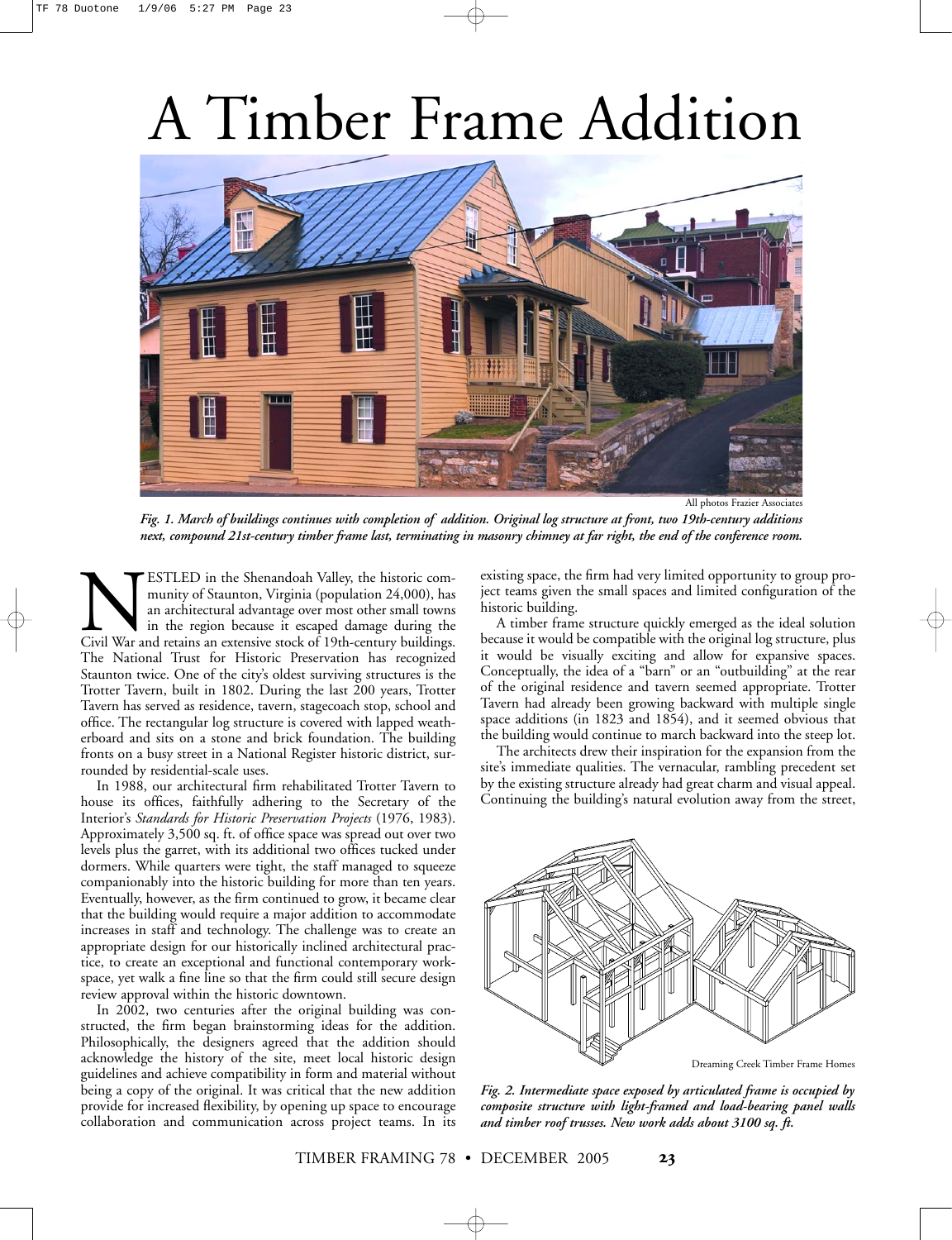## A Timber Frame Addition



All photos Frazier Associates

*Fig. 1. March of buildings continues with completion of addition. Original log structure at front, two 19th-century additions next, compound 21st-century timber frame last, terminating in masonry chimney at far right, the end of the conference room.*

ESTLED in the Shenandoah Valley, the historic com-<br>
munity of Staunton, Virginia (population 24,000), has<br>
an architectural advantage over most other small towns<br>
in the region because it escaped damage during the<br>
Civil W munity of Staunton, Virginia (population 24,000), has an architectural advantage over most other small towns in the region because it escaped damage during the The National Trust for Historic Preservation has recognized Staunton twice. One of the city's oldest surviving structures is the Trotter Tavern, built in 1802. During the last 200 years, Trotter Tavern has served as residence, tavern, stagecoach stop, school and office. The rectangular log structure is covered with lapped weatherboard and sits on a stone and brick foundation. The building fronts on a busy street in a National Register historic district, surrounded by residential-scale uses.

In 1988, our architectural firm rehabilitated Trotter Tavern to house its offices, faithfully adhering to the Secretary of the Interior's *Standards for Historic Preservation Projects* (1976, 1983). Approximately 3,500 sq. ft. of office space was spread out over two levels plus the garret, with its additional two offices tucked under dormers. While quarters were tight, the staff managed to squeeze companionably into the historic building for more than ten years. Eventually, however, as the firm continued to grow, it became clear that the building would require a major addition to accommodate increases in staff and technology. The challenge was to create an appropriate design for our historically inclined architectural practice, to create an exceptional and functional contemporary workspace, yet walk a fine line so that the firm could still secure design review approval within the historic downtown.

In 2002, two centuries after the original building was constructed, the firm began brainstorming ideas for the addition. Philosophically, the designers agreed that the addition should acknowledge the history of the site, meet local historic design guidelines and achieve compatibility in form and material without being a copy of the original. It was critical that the new addition provide for increased flexibility, by opening up space to encourage collaboration and communication across project teams. In its

existing space, the firm had very limited opportunity to group project teams given the small spaces and limited configuration of the historic building.

A timber frame structure quickly emerged as the ideal solution because it would be compatible with the original log structure, plus it would be visually exciting and allow for expansive spaces. Conceptually, the idea of a "barn" or an "outbuilding" at the rear of the original residence and tavern seemed appropriate. Trotter Tavern had already been growing backward with multiple single space additions (in 1823 and 1854), and it seemed obvious that the building would continue to march backward into the steep lot.

The architects drew their inspiration for the expansion from the site's immediate qualities. The vernacular, rambling precedent set by the existing structure already had great charm and visual appeal. Continuing the building's natural evolution away from the street,



Dreaming Creek Timber Frame Homes

*Fig. 2. Intermediate space exposed by articulated frame is occupied by composite structure with light-framed and load-bearing panel walls and timber roof trusses. New work adds about 3100 sq. ft.*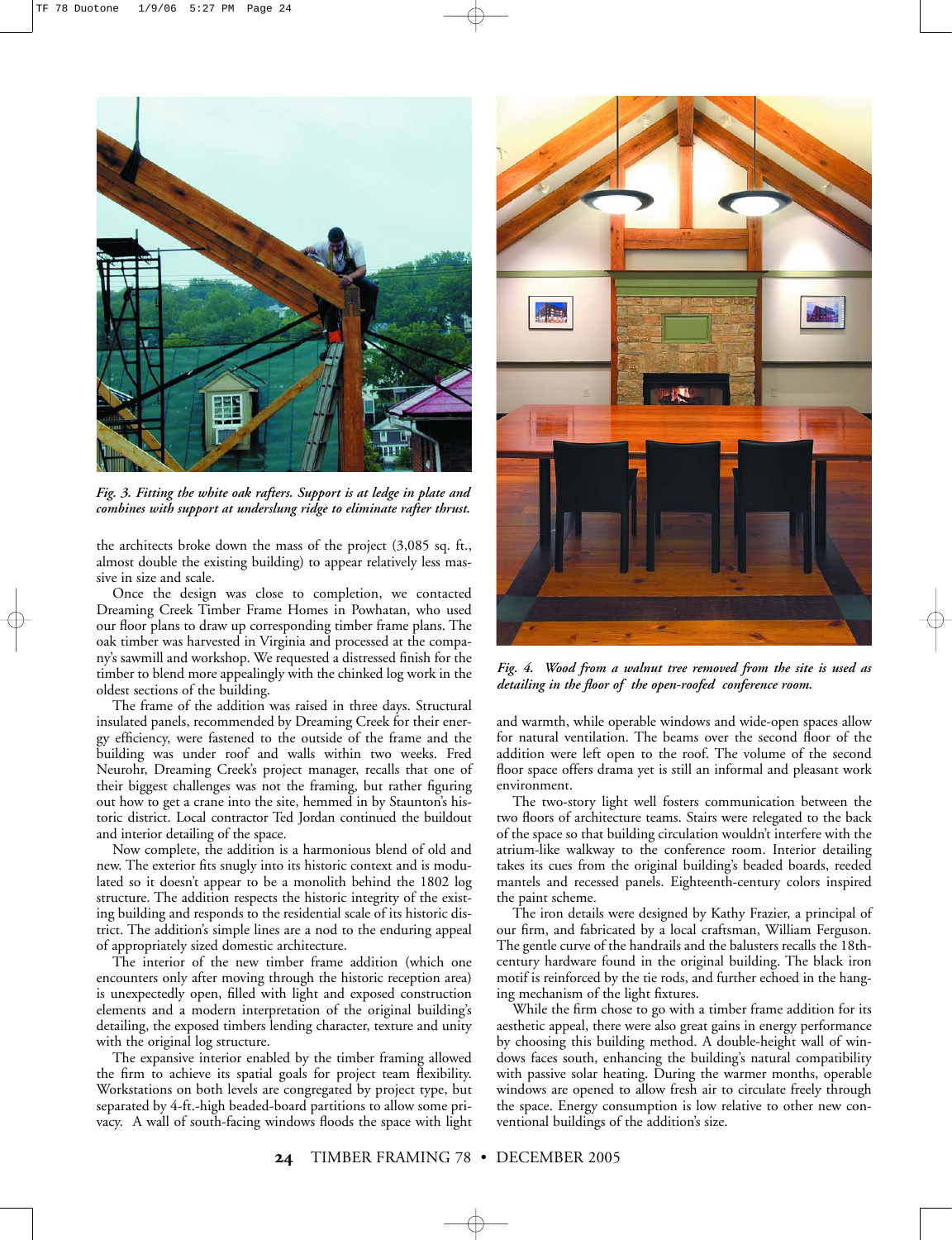

*Fig. 3. Fitting the white oak rafters. Support is at ledge in plate and combines with support at underslung ridge to eliminate rafter thrust.* 

the architects broke down the mass of the project (3,085 sq. ft., almost double the existing building) to appear relatively less massive in size and scale.

Once the design was close to completion, we contacted Dreaming Creek Timber Frame Homes in Powhatan, who used our floor plans to draw up corresponding timber frame plans. The oak timber was harvested in Virginia and processed at the company's sawmill and workshop. We requested a distressed finish for the timber to blend more appealingly with the chinked log work in the oldest sections of the building.

The frame of the addition was raised in three days. Structural insulated panels, recommended by Dreaming Creek for their energy efficiency, were fastened to the outside of the frame and the building was under roof and walls within two weeks. Fred Neurohr, Dreaming Creek's project manager, recalls that one of their biggest challenges was not the framing, but rather figuring out how to get a crane into the site, hemmed in by Staunton's historic district. Local contractor Ted Jordan continued the buildout and interior detailing of the space.

Now complete, the addition is a harmonious blend of old and new. The exterior fits snugly into its historic context and is modulated so it doesn't appear to be a monolith behind the 1802 log structure. The addition respects the historic integrity of the existing building and responds to the residential scale of its historic district. The addition's simple lines are a nod to the enduring appeal of appropriately sized domestic architecture.

The interior of the new timber frame addition (which one encounters only after moving through the historic reception area) is unexpectedly open, filled with light and exposed construction elements and a modern interpretation of the original building's detailing, the exposed timbers lending character, texture and unity with the original log structure.

The expansive interior enabled by the timber framing allowed the firm to achieve its spatial goals for project team flexibility. Workstations on both levels are congregated by project type, but separated by 4-ft.-high beaded-board partitions to allow some privacy. A wall of south-facing windows floods the space with light



*Fig. 4. Wood from a walnut tree removed from the site is used as detailing in the floor of the open-roofed conference room.*

and warmth, while operable windows and wide-open spaces allow for natural ventilation. The beams over the second floor of the addition were left open to the roof. The volume of the second floor space offers drama yet is still an informal and pleasant work environment.

The two-story light well fosters communication between the two floors of architecture teams. Stairs were relegated to the back of the space so that building circulation wouldn't interfere with the atrium-like walkway to the conference room. Interior detailing takes its cues from the original building's beaded boards, reeded mantels and recessed panels. Eighteenth-century colors inspired the paint scheme.

The iron details were designed by Kathy Frazier, a principal of our firm, and fabricated by a local craftsman, William Ferguson. The gentle curve of the handrails and the balusters recalls the 18thcentury hardware found in the original building. The black iron motif is reinforced by the tie rods, and further echoed in the hanging mechanism of the light fixtures.

While the firm chose to go with a timber frame addition for its aesthetic appeal, there were also great gains in energy performance by choosing this building method. A double-height wall of windows faces south, enhancing the building's natural compatibility with passive solar heating. During the warmer months, operable windows are opened to allow fresh air to circulate freely through the space. Energy consumption is low relative to other new conventional buildings of the addition's size.